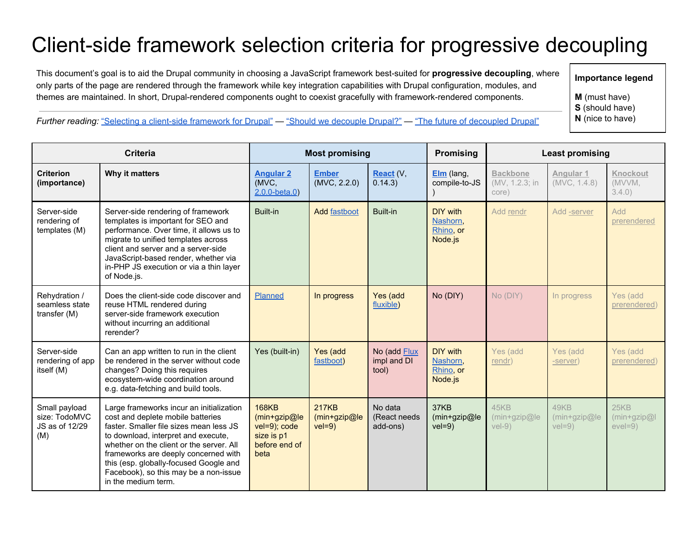## Client-side framework selection criteria for progressive decoupling

This document's goal is to aid the Drupal community in choosing a JavaScript framework best-suited for **progressive decoupling**, where only parts of the page are rendered through the framework while key integration capabilities with Drupal configuration, modules, and themes are maintained. In short, Drupal-rendered components ought to coexist gracefully with framework-rendered components.

**Importance legend**

**M**(must have) **S**(should have)

**N**(nice to have)

*Further reading:* "Selecting a client-side [framework](http://buytaert.net/selecting-a-client-side-framework-for-drupal) for Drupal" — "Should we [decouple](http://buytaert.net/should-we-decouple-drupal-with-a-client-side-framework) Drupal?" — "The future of [decoupled](http://buytaert.net/the-future-of-decoupled-drupal) Drupal"

| <b>Criteria</b>                                         |                                                                                                                                                                                                                                                                                                                                                               | <b>Most promising</b>                                                               |                                          |                                      | <b>Promising</b>                             | <b>Least promising</b>                     |                                 |                                   |
|---------------------------------------------------------|---------------------------------------------------------------------------------------------------------------------------------------------------------------------------------------------------------------------------------------------------------------------------------------------------------------------------------------------------------------|-------------------------------------------------------------------------------------|------------------------------------------|--------------------------------------|----------------------------------------------|--------------------------------------------|---------------------------------|-----------------------------------|
| <b>Criterion</b><br>(importance)                        | Why it matters                                                                                                                                                                                                                                                                                                                                                | <b>Angular 2</b><br>(MVC,<br>$2.0.0 - beta.0$                                       | <b>Ember</b><br>(MVC, 2.2.0)             | React (V,<br>0.14.3)                 | $Elm$ (lang,<br>compile-to-JS                | <b>Backbone</b><br>(MV, 1.2.3; in<br>core) | Angular 1<br>(MVC, 1.4.8)       | Knockout<br>(MVVM,<br>$3.4.0$ )   |
| Server-side<br>rendering of<br>templates (M)            | Server-side rendering of framework<br>templates is important for SEO and<br>performance. Over time, it allows us to<br>migrate to unified templates across<br>client and server and a server-side<br>JavaScript-based render, whether via<br>in-PHP JS execution or via a thin layer<br>of Node.js.                                                           | Built-in                                                                            | <b>Add fastboot</b>                      | Built-in                             | DIY with<br>Nashorn.<br>Rhino, or<br>Node.js | Add rendr                                  | Add -server                     | Add<br>prerendered                |
| Rehydration /<br>seamless state<br>transfer (M)         | Does the client-side code discover and<br>reuse HTML rendered during<br>server-side framework execution<br>without incurring an additional<br>rerender?                                                                                                                                                                                                       | Planned                                                                             | In progress                              | Yes (add<br>fluxible)                | No (DIY)                                     | No (DIY)                                   | In progress                     | Yes (add<br>prerendered)          |
| Server-side<br>rendering of app<br>itself (M)           | Can an app written to run in the client<br>be rendered in the server without code<br>changes? Doing this requires<br>ecosystem-wide coordination around<br>e.g. data-fetching and build tools.                                                                                                                                                                | Yes (built-in)                                                                      | Yes (add<br>fastboot)                    | No (add Flux<br>impl and DI<br>tool) | DIY with<br>Nashorn,<br>Rhino, or<br>Node.js | Yes (add<br>rendr)                         | Yes (add<br>-server)            | Yes (add<br>prerendered)          |
| Small payload<br>size: TodoMVC<br>JS as of 12/29<br>(M) | Large frameworks incur an initialization<br>cost and deplete mobile batteries<br>faster. Smaller file sizes mean less JS<br>to download, interpret and execute,<br>whether on the client or the server. All<br>frameworks are deeply concerned with<br>this (esp. globally-focused Google and<br>Facebook), so this may be a non-issue<br>in the medium term. | <b>168KB</b><br>(min+gzip@le<br>vel=9); code<br>size is p1<br>before end of<br>beta | <b>217KB</b><br>(min+gzip@le<br>$vel=9)$ | No data<br>(React needs<br>add-ons)  | 37KB<br>(min+gzip@le<br>$vel=9)$             | 45KB<br>(min+gzip@le<br>$vel-9)$           | 49KB<br>(min+gzip@le<br>$veI=9$ | 25KB<br>(min+gzip@l<br>$e$ vel=9) |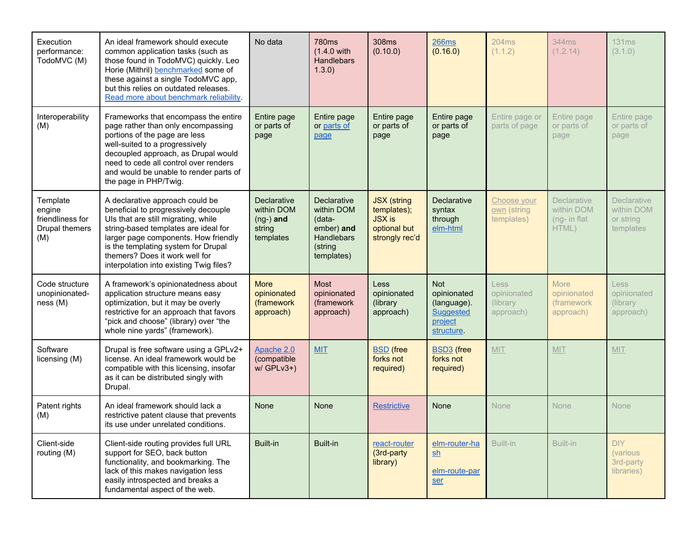| Execution<br>performance:<br>TodoMVC (M)                        | An ideal framework should execute<br>common application tasks (such as<br>those found in TodoMVC) quickly. Leo<br>Horie (Mithril) benchmarked some of<br>these against a single TodoMVC app,<br>but this relies on outdated releases.<br>Read more about benchmark reliability.                                    | No data                                                         | <b>780ms</b><br>(1.4.0 with<br><b>Handlebars</b><br>1.3.0)                                      | 308ms<br>(0.10.0)                                                                    | <b>266ms</b><br>(0.16.0)                                                              | <b>204ms</b><br>(1.1.2)                      | 344ms<br>(1.2.14)                                            | 131ms<br>(3.1.0)                                           |
|-----------------------------------------------------------------|--------------------------------------------------------------------------------------------------------------------------------------------------------------------------------------------------------------------------------------------------------------------------------------------------------------------|-----------------------------------------------------------------|-------------------------------------------------------------------------------------------------|--------------------------------------------------------------------------------------|---------------------------------------------------------------------------------------|----------------------------------------------|--------------------------------------------------------------|------------------------------------------------------------|
| Interoperability<br>(M)                                         | Frameworks that encompass the entire<br>page rather than only encompassing<br>portions of the page are less<br>well-suited to a progressively<br>decoupled approach, as Drupal would<br>need to cede all control over renders<br>and would be unable to render parts of<br>the page in PHP/Twig.                   | Entire page<br>or parts of<br>page                              | Entire page<br>or parts of<br>page                                                              | Entire page<br>or parts of<br>page                                                   | Entire page<br>or parts of<br>page                                                    | Entire page or<br>parts of page              | Entire page<br>or parts of<br>page                           | Entire page<br>or parts of<br>page                         |
| Template<br>engine<br>friendliness for<br>Drupal themers<br>(M) | A declarative approach could be<br>beneficial to progressively decouple<br>Uls that are still migrating, while<br>string-based templates are ideal for<br>larger page components. How friendly<br>is the templating system for Drupal<br>themers? Does it work well for<br>interpolation into existing Twig files? | Declarative<br>within DOM<br>$(ng-)$ and<br>string<br>templates | Declarative<br>within DOM<br>(data-<br>ember) and<br><b>Handlebars</b><br>(string<br>templates) | <b>JSX</b> (string<br>templates);<br><b>JSX is</b><br>optional but<br>strongly rec'd | Declarative<br>syntax<br>through<br>elm-html                                          | Choose your<br>own (string<br>templates)     | <b>Declarative</b><br>within DOM<br>$(ng- in flat)$<br>HTML) | <b>Declarative</b><br>within DOM<br>or string<br>templates |
| Code structure<br>unopinionated-<br>ness(M)                     | A framework's opinionatedness about<br>application structure means easy<br>optimization, but it may be overly<br>restrictive for an approach that favors<br>"pick and choose" (library) over "the<br>whole nine yards" (framework).                                                                                | <b>More</b><br>opinionated<br>(framework<br>approach)           | <b>Most</b><br>opinionated<br>(framework<br>approach)                                           | <b>Less</b><br>opinionated<br>(library<br>approach)                                  | <b>Not</b><br>opinionated<br>(language).<br><b>Suggested</b><br>project<br>structure. | Less<br>opinionated<br>(library<br>approach) | More<br>opinionated<br>(framework<br>approach)               | Less<br>opinionated<br>(library<br>approach)               |
| Software<br>licensing (M)                                       | Drupal is free software using a GPLv2+<br>license. An ideal framework would be<br>compatible with this licensing, insofar<br>as it can be distributed singly with<br>Drupal.                                                                                                                                       | Apache 2.0<br>(compatible<br>$w / GPLv3+)$                      | <b>MIT</b>                                                                                      | <b>BSD</b> (free<br>forks not<br>required)                                           | <b>BSD3</b> (free<br>forks not<br>required)                                           | MIT                                          | MIT                                                          | MIT                                                        |
| Patent rights<br>(M)                                            | An ideal framework should lack a<br>restrictive patent clause that prevents<br>its use under unrelated conditions.                                                                                                                                                                                                 | None                                                            | None                                                                                            | <b>Restrictive</b>                                                                   | <b>None</b>                                                                           | <b>None</b>                                  | <b>None</b>                                                  | <b>None</b>                                                |
| Client-side<br>routing (M)                                      | Client-side routing provides full URL<br>support for SEO, back button<br>functionality, and bookmarking. The<br>lack of this makes navigation less<br>easily introspected and breaks a<br>fundamental aspect of the web.                                                                                           | Built-in                                                        | Built-in                                                                                        | react-router<br>(3rd-party<br>library)                                               | elm-router-ha<br>sh<br>elm-route-par<br>ser                                           | Built-in                                     | Built-in                                                     | <b>DIY</b><br><i>(various)</i><br>3rd-party<br>libraries)  |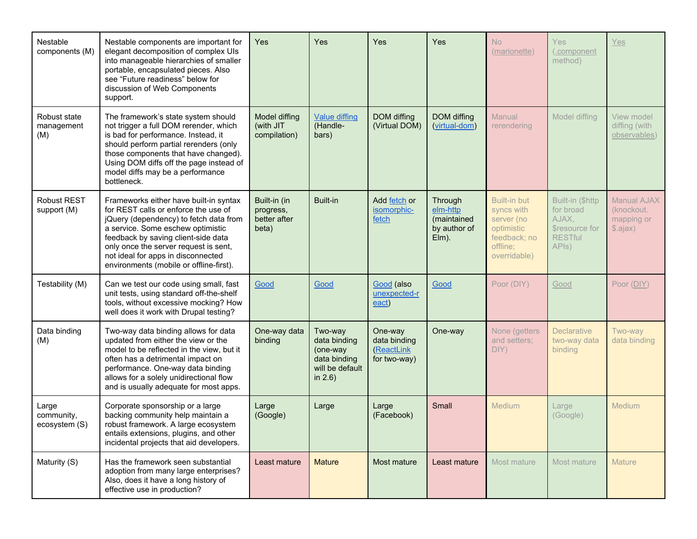| Nestable<br>components (M)           | Nestable components are important for<br>elegant decomposition of complex UIs<br>into manageable hierarchies of smaller<br>portable, encapsulated pieces. Also<br>see "Future readiness" below for<br>discussion of Web Components<br>support.                                                                                 | <b>Yes</b>                                         | <b>Yes</b>                                                                           | <b>Yes</b>                                            | <b>Yes</b>                                                  | N <sub>o</sub><br>(marionette)                                                                            | <b>Yes</b><br>(.component<br>method)                                                      | Yes                                                              |
|--------------------------------------|--------------------------------------------------------------------------------------------------------------------------------------------------------------------------------------------------------------------------------------------------------------------------------------------------------------------------------|----------------------------------------------------|--------------------------------------------------------------------------------------|-------------------------------------------------------|-------------------------------------------------------------|-----------------------------------------------------------------------------------------------------------|-------------------------------------------------------------------------------------------|------------------------------------------------------------------|
| Robust state<br>management<br>(M)    | The framework's state system should<br>not trigger a full DOM rerender, which<br>is bad for performance. Instead, it<br>should perform partial rerenders (only<br>those components that have changed).<br>Using DOM diffs off the page instead of<br>model diffs may be a performance<br>bottleneck.                           | Model diffing<br>(with JIT<br>compilation)         | <b>Value diffing</b><br>(Handle-<br>bars)                                            | DOM diffing<br>(Virtual DOM)                          | DOM diffing<br>(virtual-dom)                                | Manual<br>rerendering                                                                                     | Model diffing                                                                             | View model<br>diffing (with<br>observables)                      |
| <b>Robust REST</b><br>support (M)    | Frameworks either have built-in syntax<br>for REST calls or enforce the use of<br>jQuery (dependency) to fetch data from<br>a service. Some eschew optimistic<br>feedback by saving client-side data<br>only once the server request is sent,<br>not ideal for apps in disconnected<br>environments (mobile or offline-first). | Built-in (in<br>progress,<br>better after<br>beta) | Built-in                                                                             | Add fetch or<br>isomorphic-<br>fetch                  | Through<br>elm-http<br>(maintained<br>by author of<br>Elm). | <b>Built-in but</b><br>syncs with<br>server (no<br>optimistic<br>feedback; no<br>offline;<br>overridable) | Built-in (\$http<br>for broad<br>AJAX,<br><b>Sresource for</b><br><b>RESTful</b><br>APIs) | <b>Manual AJAX</b><br>(knockout.<br>mapping or<br>$$. a$ jax $)$ |
| Testability (M)                      | Can we test our code using small, fast<br>unit tests, using standard off-the-shelf<br>tools, without excessive mocking? How<br>well does it work with Drupal testing?                                                                                                                                                          | Good                                               | Good                                                                                 | Good (also<br>unexpected-r<br>eact)                   | Good                                                        | Poor (DIY)                                                                                                | Good                                                                                      | Poor (DIY)                                                       |
| Data binding<br>(M)                  | Two-way data binding allows for data<br>updated from either the view or the<br>model to be reflected in the view, but it<br>often has a detrimental impact on<br>performance. One-way data binding<br>allows for a solely unidirectional flow<br>and is usually adequate for most apps.                                        | One-way data<br>binding                            | Two-way<br>data binding<br>(one-way<br>data binding<br>will be default<br>in $2.6$ ) | One-way<br>data binding<br>(ReactLink<br>for two-way) | One-way                                                     | None (getters<br>and setters;<br>DIY)                                                                     | <b>Declarative</b><br>two-way data<br>binding                                             | Two-way<br>data binding                                          |
| Large<br>community,<br>ecosystem (S) | Corporate sponsorship or a large<br>backing community help maintain a<br>robust framework. A large ecosystem<br>entails extensions, plugins, and other<br>incidental projects that aid developers.                                                                                                                             | Large<br>(Google)                                  | Large                                                                                | Large<br>(Facebook)                                   | Small                                                       | Medium                                                                                                    | Large<br>(Google)                                                                         | Medium                                                           |
| Maturity (S)                         | Has the framework seen substantial<br>adoption from many large enterprises?<br>Also, does it have a long history of<br>effective use in production?                                                                                                                                                                            | Least mature                                       | <b>Mature</b>                                                                        | Most mature                                           | Least mature                                                | Most mature                                                                                               | Most mature                                                                               | <b>Mature</b>                                                    |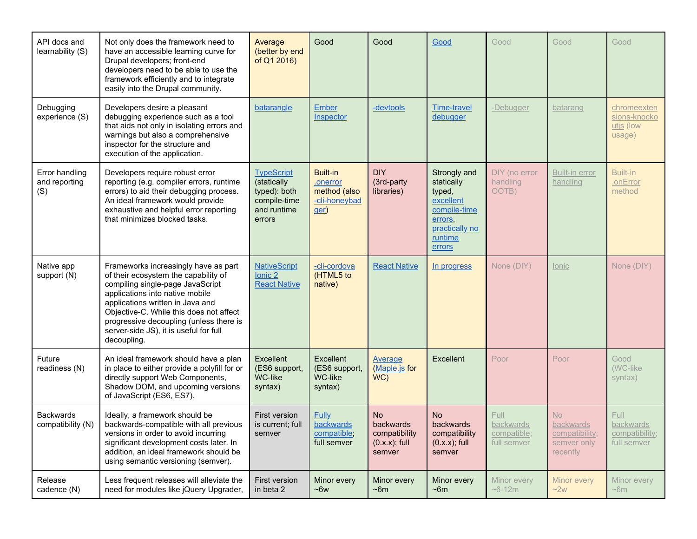| API docs and<br>learnability (S)       | Not only does the framework need to<br>have an accessible learning curve for<br>Drupal developers; front-end<br>developers need to be able to use the<br>framework efficiently and to integrate<br>easily into the Drupal community.                                                                                                   | Average<br>(better by end<br>of Q1 2016)                                                  | Good                                                                 | Good                                                                 | Good                                                                                                                | Good                                                   | Good                                                                       | Good                                                      |
|----------------------------------------|----------------------------------------------------------------------------------------------------------------------------------------------------------------------------------------------------------------------------------------------------------------------------------------------------------------------------------------|-------------------------------------------------------------------------------------------|----------------------------------------------------------------------|----------------------------------------------------------------------|---------------------------------------------------------------------------------------------------------------------|--------------------------------------------------------|----------------------------------------------------------------------------|-----------------------------------------------------------|
| Debugging<br>experience (S)            | Developers desire a pleasant<br>debugging experience such as a tool<br>that aids not only in isolating errors and<br>warnings but also a comprehensive<br>inspector for the structure and<br>execution of the application.                                                                                                             | batarangle                                                                                | <b>Ember</b><br>Inspector                                            | -devtools                                                            | <b>Time-travel</b><br>debugger                                                                                      | -Debugger                                              | batarang                                                                   | chromeexten<br>sions-knocko<br>utjs (low<br>usage)        |
| Error handling<br>and reporting<br>(S) | Developers require robust error<br>reporting (e.g. compiler errors, runtime<br>errors) to aid their debugging process.<br>An ideal framework would provide<br>exhaustive and helpful error reporting<br>that minimizes blocked tasks.                                                                                                  | <b>TypeScript</b><br>(statically<br>typed): both<br>compile-time<br>and runtime<br>errors | <b>Built-in</b><br>.onerror<br>method (also<br>-cli-honeybad<br>ger) | <b>DIY</b><br>(3rd-party<br>libraries)                               | Strongly and<br>statically<br>typed,<br>excellent<br>compile-time<br>errors.<br>practically no<br>runtime<br>errors | DIY (no error<br>handling<br>OOTB)                     | <b>Built-in error</b><br>handling                                          | <b>Built-in</b><br>.onError<br>method                     |
| Native app<br>support (N)              | Frameworks increasingly have as part<br>of their ecosystem the capability of<br>compiling single-page JavaScript<br>applications into native mobile<br>applications written in Java and<br>Objective-C. While this does not affect<br>progressive decoupling (unless there is<br>server-side JS), it is useful for full<br>decoupling. | <b>NativeScript</b><br>Ionic 2<br><b>React Native</b>                                     | -cli-cordova<br>(HTML5 to<br>native)                                 | <b>React Native</b>                                                  | In progress                                                                                                         | None (DIY)                                             | lonic                                                                      | None (DIY)                                                |
| Future<br>readiness (N)                | An ideal framework should have a plan<br>in place to either provide a polyfill for or<br>directly support Web Components,<br>Shadow DOM, and upcoming versions<br>of JavaScript (ES6, ES7).                                                                                                                                            | Excellent<br>(ES6 support,<br>WC-like<br>syntax)                                          | Excellent<br>(ES6 support,<br>WC-like<br>syntax)                     | <b>Average</b><br>(Maple.js for<br>WC)                               | Excellent                                                                                                           | Poor                                                   | Poor                                                                       | Good<br>(WC-like)<br>syntax)                              |
| <b>Backwards</b><br>compatibility (N)  | Ideally, a framework should be<br>backwards-compatible with all previous  <br>versions in order to avoid incurring<br>significant development costs later. In<br>addition, an ideal framework should be<br>using semantic versioning (semver).                                                                                         | First version<br>is current; full<br>semver                                               | <b>Fully</b><br>backwards<br>compatible;<br>full semver              | <b>No</b><br>backwards<br>compatibility<br>$(0.x.x);$ full<br>semver | N <sub>o</sub><br><b>backwards</b><br>compatibility<br>$(0.x.x);$ full<br>semver                                    | <b>Full</b><br>backwards<br>compatible;<br>full semver | <b>No</b><br><b>backwards</b><br>compatibility;<br>semver only<br>recently | <b>Full</b><br>backwards<br>compatibility;<br>full semver |
| Release<br>cadence (N)                 | Less frequent releases will alleviate the<br>need for modules like jQuery Upgrader,                                                                                                                                                                                                                                                    | <b>First version</b><br>in beta 2                                                         | Minor every<br>$~5$ $~\sim$ 6 $~\rm{w}$                              | Minor every<br>$~5$ m                                                | Minor every<br>$~5$ m                                                                                               | Minor every<br>$~6 - 12m$                              | Minor every<br>~2w                                                         | Minor every<br>$~\sim 6m$                                 |